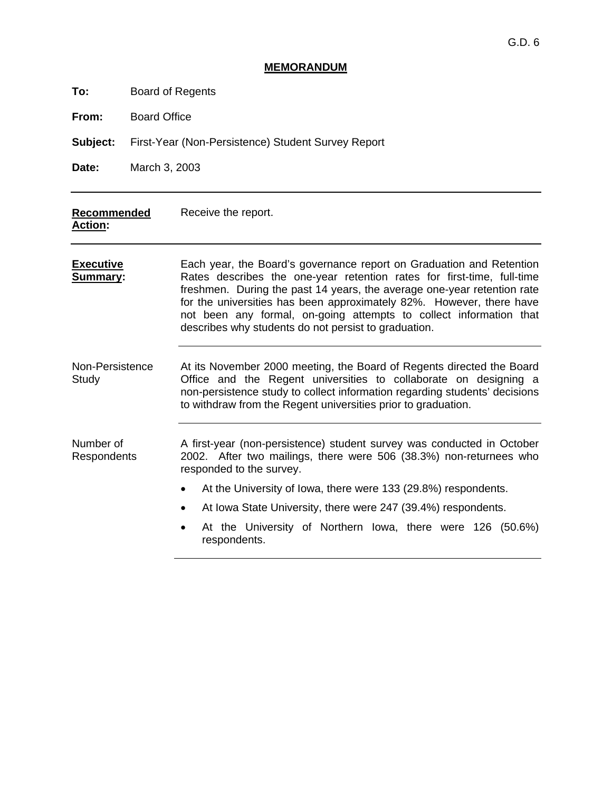## **MEMORANDUM**

| Board of Regents<br>To: |  |
|-------------------------|--|
|-------------------------|--|

**From:** Board Office

**Subject:** First-Year (Non-Persistence) Student Survey Report

**Date:** March 3, 2003

| Recommended<br><b>Action:</b>       | Receive the report.                                                                                                                                                                                                                                                                                                                                                                                                             |  |  |  |  |  |  |
|-------------------------------------|---------------------------------------------------------------------------------------------------------------------------------------------------------------------------------------------------------------------------------------------------------------------------------------------------------------------------------------------------------------------------------------------------------------------------------|--|--|--|--|--|--|
| <b>Executive</b><br><b>Summary:</b> | Each year, the Board's governance report on Graduation and Retention<br>Rates describes the one-year retention rates for first-time, full-time<br>freshmen. During the past 14 years, the average one-year retention rate<br>for the universities has been approximately 82%. However, there have<br>not been any formal, on-going attempts to collect information that<br>describes why students do not persist to graduation. |  |  |  |  |  |  |
| Non-Persistence<br>Study            | At its November 2000 meeting, the Board of Regents directed the Board<br>Office and the Regent universities to collaborate on designing a<br>non-persistence study to collect information regarding students' decisions<br>to withdraw from the Regent universities prior to graduation.                                                                                                                                        |  |  |  |  |  |  |
| Number of<br><b>Respondents</b>     | A first-year (non-persistence) student survey was conducted in October<br>2002. After two mailings, there were 506 (38.3%) non-returnees who<br>responded to the survey.                                                                                                                                                                                                                                                        |  |  |  |  |  |  |
|                                     | At the University of Iowa, there were 133 (29.8%) respondents.                                                                                                                                                                                                                                                                                                                                                                  |  |  |  |  |  |  |
|                                     | At Iowa State University, there were 247 (39.4%) respondents.                                                                                                                                                                                                                                                                                                                                                                   |  |  |  |  |  |  |
|                                     | At the University of Northern Iowa, there were 126 (50.6%)<br>respondents.                                                                                                                                                                                                                                                                                                                                                      |  |  |  |  |  |  |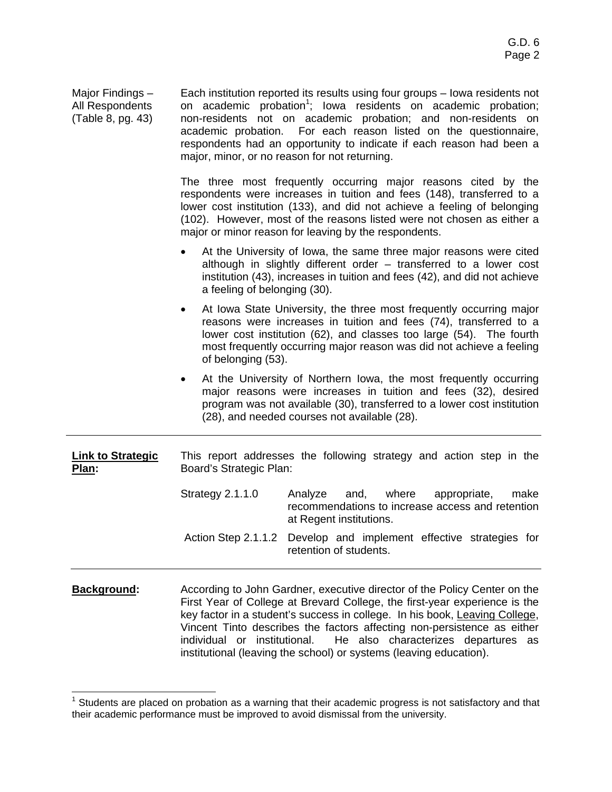| Major Findings -<br>All Respondents<br>(Table 8, pg. 43) | Each institution reported its results using four groups - lowa residents not<br>on academic probation <sup>1</sup> ; lowa residents on academic probation;<br>non-residents not on academic probation; and non-residents on<br>academic probation. For each reason listed on the questionnaire,<br>respondents had an opportunity to indicate if each reason had been a<br>major, minor, or no reason for not returning. |  |  |  |  |  |
|----------------------------------------------------------|--------------------------------------------------------------------------------------------------------------------------------------------------------------------------------------------------------------------------------------------------------------------------------------------------------------------------------------------------------------------------------------------------------------------------|--|--|--|--|--|
|                                                          | The three most frequently occurring major reasons cited by the<br>respondents were increases in tuition and fees (148), transferred to a<br>lower cost institution (133), and did not achieve a feeling of belonging<br>(102). However, most of the reasons listed were not chosen as either a<br>major or minor reason for leaving by the respondents.                                                                  |  |  |  |  |  |
|                                                          | At the University of Iowa, the same three major reasons were cited<br>although in slightly different order - transferred to a lower cost<br>institution (43), increases in tuition and fees (42), and did not achieve<br>a feeling of belonging (30).                                                                                                                                                                    |  |  |  |  |  |
|                                                          | At Iowa State University, the three most frequently occurring major<br>$\bullet$<br>reasons were increases in tuition and fees (74), transferred to a<br>lower cost institution (62), and classes too large (54). The fourth<br>most frequently occurring major reason was did not achieve a feeling<br>of belonging (53).                                                                                               |  |  |  |  |  |
|                                                          | At the University of Northern Iowa, the most frequently occurring<br>major reasons were increases in tuition and fees (32), desired<br>program was not available (30), transferred to a lower cost institution<br>(28), and needed courses not available (28).                                                                                                                                                           |  |  |  |  |  |
| <b>Link to Strategic</b><br>Plan:                        | This report addresses the following strategy and action step in the<br>Board's Strategic Plan:                                                                                                                                                                                                                                                                                                                           |  |  |  |  |  |
|                                                          | <b>Strategy 2.1.1.0</b><br>Analyze<br>where<br>appropriate,<br>make<br>and,<br>recommendations to increase access and retention<br>at Regent institutions.                                                                                                                                                                                                                                                               |  |  |  |  |  |
|                                                          | Develop and implement effective strategies for<br>Action Step 2.1.1.2<br>retention of students.                                                                                                                                                                                                                                                                                                                          |  |  |  |  |  |
| الممبرز معمرات                                           | consider to John Cardner, avecutive director of the Deliau Contar on the                                                                                                                                                                                                                                                                                                                                                 |  |  |  |  |  |

**Background:** According to John Gardner, executive director of the Policy Center on the First Year of College at Brevard College, the first-year experience is the key factor in a student's success in college. In his book, Leaving College, Vincent Tinto describes the factors affecting non-persistence as either individual or institutional. He also characterizes departures as institutional (leaving the school) or systems (leaving education).

 1 Students are placed on probation as a warning that their academic progress is not satisfactory and that their academic performance must be improved to avoid dismissal from the university.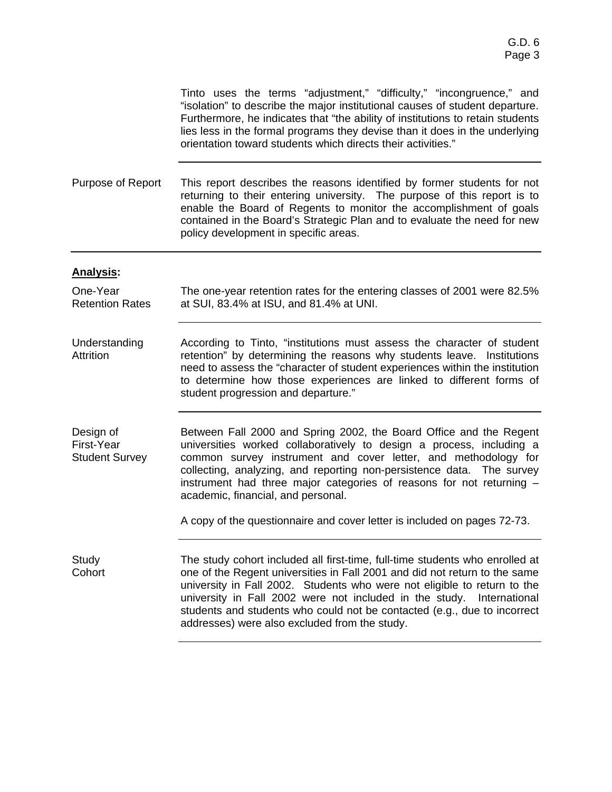Tinto uses the terms "adjustment," "difficulty," "incongruence," and "isolation" to describe the major institutional causes of student departure. Furthermore, he indicates that "the ability of institutions to retain students lies less in the formal programs they devise than it does in the underlying orientation toward students which directs their activities."

Purpose of Report This report describes the reasons identified by former students for not returning to their entering university. The purpose of this report is to enable the Board of Regents to monitor the accomplishment of goals contained in the Board's Strategic Plan and to evaluate the need for new policy development in specific areas.

## **Analysis:**

One-Year Retention Rates The one-year retention rates for the entering classes of 2001 were 82.5% at SUI, 83.4% at ISU, and 81.4% at UNI.

Understanding Attrition According to Tinto, "institutions must assess the character of student retention" by determining the reasons why students leave. Institutions need to assess the "character of student experiences within the institution to determine how those experiences are linked to different forms of student progression and departure."

Design of First-Year Student Survey Between Fall 2000 and Spring 2002, the Board Office and the Regent universities worked collaboratively to design a process, including a common survey instrument and cover letter, and methodology for collecting, analyzing, and reporting non-persistence data. The survey instrument had three major categories of reasons for not returning – academic, financial, and personal.

A copy of the questionnaire and cover letter is included on pages 72-73.

Study **Cohort** The study cohort included all first-time, full-time students who enrolled at one of the Regent universities in Fall 2001 and did not return to the same university in Fall 2002. Students who were not eligible to return to the university in Fall 2002 were not included in the study. International students and students who could not be contacted (e.g., due to incorrect addresses) were also excluded from the study.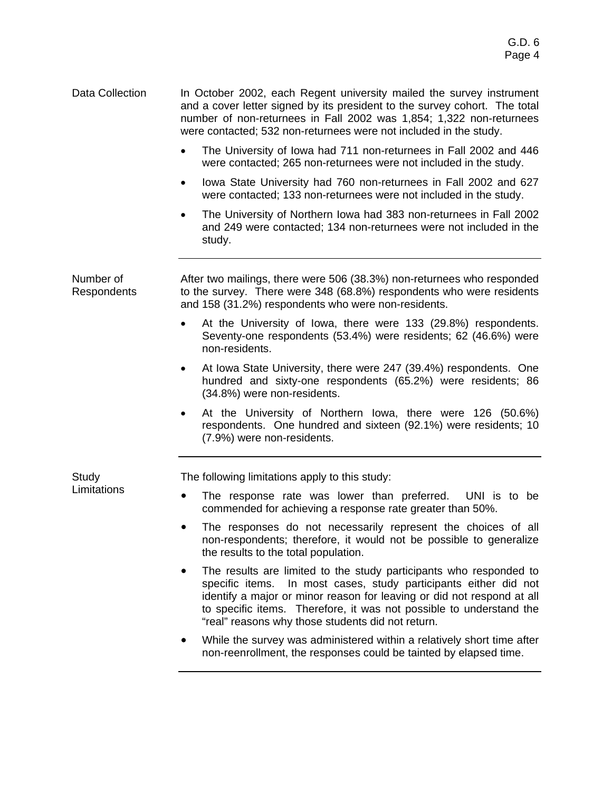- Data Collection In October 2002, each Regent university mailed the survey instrument and a cover letter signed by its president to the survey cohort. The total number of non-returnees in Fall 2002 was 1,854; 1,322 non-returnees were contacted; 532 non-returnees were not included in the study.
	- The University of Iowa had 711 non-returnees in Fall 2002 and 446 were contacted; 265 non-returnees were not included in the study.
	- Iowa State University had 760 non-returnees in Fall 2002 and 627 were contacted; 133 non-returnees were not included in the study.
	- The University of Northern Iowa had 383 non-returnees in Fall 2002 and 249 were contacted; 134 non-returnees were not included in the study.

Number of Respondents After two mailings, there were 506 (38.3%) non-returnees who responded to the survey. There were 348 (68.8%) respondents who were residents and 158 (31.2%) respondents who were non-residents.

- At the University of Iowa, there were 133 (29.8%) respondents. Seventy-one respondents (53.4%) were residents; 62 (46.6%) were non-residents.
- At Iowa State University, there were 247 (39.4%) respondents. One hundred and sixty-one respondents (65.2%) were residents; 86 (34.8%) were non-residents.
- At the University of Northern Iowa, there were 126 (50.6%) respondents. One hundred and sixteen (92.1%) were residents; 10 (7.9%) were non-residents.

The following limitations apply to this study:

- The response rate was lower than preferred. UNI is to be commended for achieving a response rate greater than 50%.
- The responses do not necessarily represent the choices of all non-respondents; therefore, it would not be possible to generalize the results to the total population.
- The results are limited to the study participants who responded to specific items. In most cases, study participants either did not identify a major or minor reason for leaving or did not respond at all to specific items. Therefore, it was not possible to understand the "real" reasons why those students did not return.
- While the survey was administered within a relatively short time after non-reenrollment, the responses could be tainted by elapsed time.

Study **Limitations**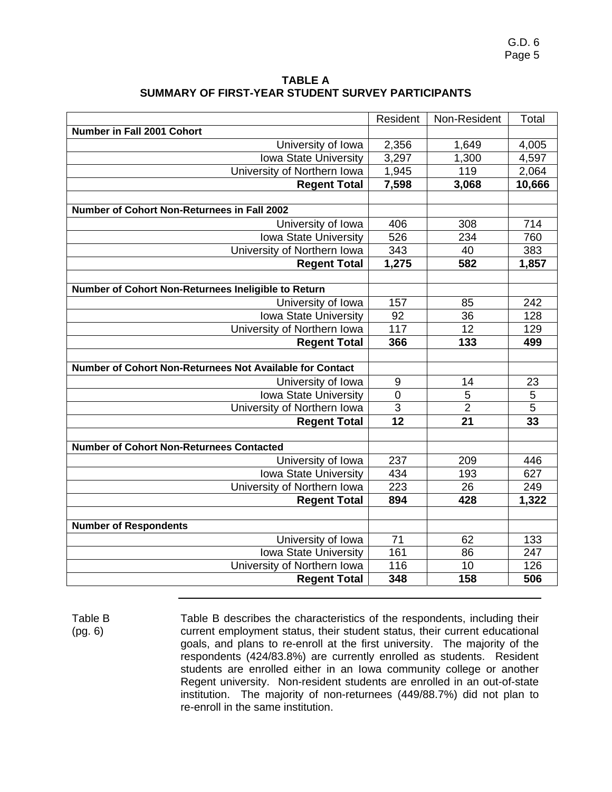G.D. 6 Page 5

| <b>TABLE A</b>                                    |
|---------------------------------------------------|
| SUMMARY OF FIRST-YEAR STUDENT SURVEY PARTICIPANTS |

|                                                          | Resident           | Non-Resident    | Total          |
|----------------------------------------------------------|--------------------|-----------------|----------------|
| Number in Fall 2001 Cohort                               |                    |                 |                |
| University of Iowa                                       | 2,356              | 1,649           | 4,005          |
| Iowa State University                                    | 3,297              | 1,300           | 4,597          |
| University of Northern Iowa                              | $\overline{1,}945$ | 119             | 2,064          |
| <b>Regent Total</b>                                      | 7,598              | 3,068           | 10,666         |
|                                                          |                    |                 |                |
| <b>Number of Cohort Non-Returnees in Fall 2002</b>       |                    |                 |                |
| University of Iowa                                       | 406                | 308             | 714            |
| <b>Iowa State University</b>                             | 526                | 234             | 760            |
| University of Northern Iowa                              | $\frac{1}{343}$    | 40              | 383            |
| <b>Regent Total</b>                                      | 1,275              | 582             | 1,857          |
|                                                          |                    |                 |                |
| Number of Cohort Non-Returnees Ineligible to Return      |                    |                 |                |
| University of Iowa                                       | 157                | 85              | 242            |
| Iowa State University                                    | 92                 | 36              | 128            |
| University of Northern Iowa                              | 117                | 12              | 129            |
| <b>Regent Total</b>                                      | 366                | 133             | 499            |
| Number of Cohort Non-Returnees Not Available for Contact |                    |                 |                |
| University of Iowa                                       | 9                  | 14              | 23             |
| Iowa State University                                    | $\mathbf 0$        | $\overline{5}$  | $\overline{5}$ |
| University of Northern Iowa                              | 3                  | $\overline{2}$  | 5              |
| <b>Regent Total</b>                                      | $\overline{12}$    | $\overline{21}$ | 33             |
|                                                          |                    |                 |                |
| <b>Number of Cohort Non-Returnees Contacted</b>          |                    |                 |                |
| University of Iowa                                       | 237                | 209             | 446            |
| Iowa State University                                    | 434                | 193             | 627            |
| University of Northern Iowa                              | 223                | 26              | 249            |
| <b>Regent Total</b>                                      | 894                | 428             | 1,322          |
|                                                          |                    |                 |                |
| <b>Number of Respondents</b>                             |                    |                 |                |
| University of Iowa                                       | 71                 | 62              | 133            |
| Iowa State University                                    | 161                | 86              | 247            |
| University of Northern Iowa                              | 116                | 10              | 126            |
| <b>Regent Total</b>                                      | 348                | 158             | 506            |

Table B (pg. 6) Table B describes the characteristics of the respondents, including their current employment status, their student status, their current educational goals, and plans to re-enroll at the first university. The majority of the respondents (424/83.8%) are currently enrolled as students. Resident students are enrolled either in an Iowa community college or another Regent university. Non-resident students are enrolled in an out-of-state institution. The majority of non-returnees (449/88.7%) did not plan to re-enroll in the same institution.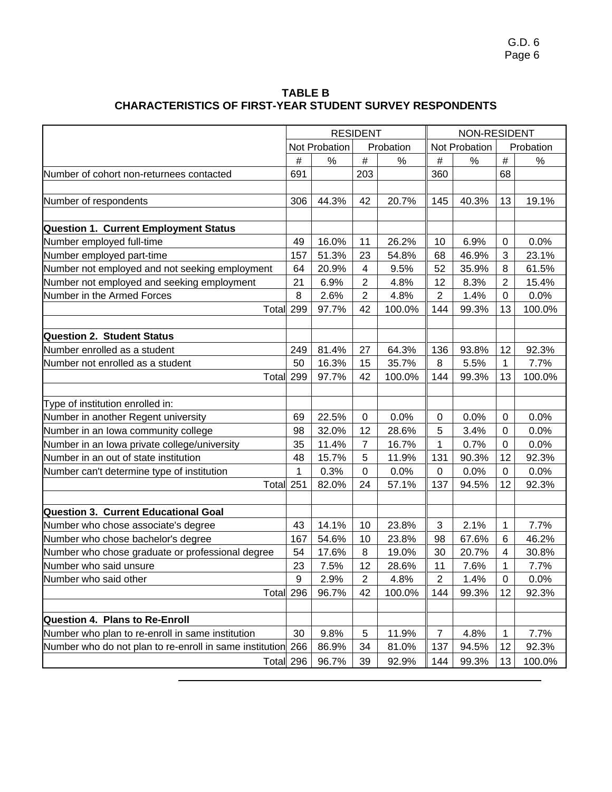G.D. 6 Page 6

| <b>TABLE B</b>                                                  |
|-----------------------------------------------------------------|
| <b>CHARACTERISTICS OF FIRST-YEAR STUDENT SURVEY RESPONDENTS</b> |

|                                                             | <b>RESIDENT</b> |               |                | NON-RESIDENT |                  |               |                         |           |  |
|-------------------------------------------------------------|-----------------|---------------|----------------|--------------|------------------|---------------|-------------------------|-----------|--|
|                                                             |                 | Not Probation |                | Probation    |                  | Not Probation |                         | Probation |  |
|                                                             | $\#$            | $\%$          | $\#$           | $\%$         | $\#$             | %             | $\#$                    | $\%$      |  |
| Number of cohort non-returnees contacted                    | 691             |               | 203            |              | 360              |               | 68                      |           |  |
|                                                             |                 |               |                |              |                  |               |                         |           |  |
| Number of respondents                                       | 306             | 44.3%         | 42             | 20.7%        | 145              | 40.3%         | 13                      | 19.1%     |  |
|                                                             |                 |               |                |              |                  |               |                         |           |  |
| <b>Question 1. Current Employment Status</b>                |                 |               |                |              |                  |               |                         |           |  |
| Number employed full-time                                   | 49              | 16.0%         | 11             | 26.2%        | 10               | 6.9%          | 0                       | 0.0%      |  |
| Number employed part-time                                   | 157             | 51.3%         | 23             | 54.8%        | 68               | 46.9%         | 3                       | 23.1%     |  |
| Number not employed and not seeking employment              | 64              | 20.9%         | 4              | 9.5%         | 52               | 35.9%         | $\, 8$                  | 61.5%     |  |
| Number not employed and seeking employment                  | 21              | 6.9%          | $\overline{2}$ | 4.8%         | 12               | 8.3%          | $\overline{2}$          | 15.4%     |  |
| Number in the Armed Forces                                  | 8               | 2.6%          | $\overline{2}$ | 4.8%         | $\boldsymbol{2}$ | 1.4%          | $\mathbf 0$             | 0.0%      |  |
| Total 299                                                   |                 | 97.7%         | 42             | 100.0%       | 144              | 99.3%         | 13                      | 100.0%    |  |
|                                                             |                 |               |                |              |                  |               |                         |           |  |
| <b>Question 2. Student Status</b>                           |                 |               |                |              |                  |               |                         |           |  |
| Number enrolled as a student                                | 249             | 81.4%         | 27             | 64.3%        | 136              | 93.8%         | 12                      | 92.3%     |  |
| Number not enrolled as a student                            | 50              | 16.3%         | 15             | 35.7%        | 8                | 5.5%          | 1                       | 7.7%      |  |
| Total                                                       | 299             | 97.7%         | 42             | 100.0%       | 144              | 99.3%         | 13                      | 100.0%    |  |
|                                                             |                 |               |                |              |                  |               |                         |           |  |
| Type of institution enrolled in:                            |                 |               |                |              |                  |               |                         |           |  |
| Number in another Regent university                         | 69              | 22.5%         | $\mathbf 0$    | 0.0%         | 0                | 0.0%          | 0                       | 0.0%      |  |
| Number in an lowa community college                         | 98              | 32.0%         | 12             | 28.6%        | 5                | 3.4%          | $\pmb{0}$               | 0.0%      |  |
| Number in an Iowa private college/university                | 35              | 11.4%         | $\overline{7}$ | 16.7%        | 1                | 0.7%          | $\mathbf 0$             | 0.0%      |  |
| Number in an out of state institution                       | 48              | 15.7%         | 5              | 11.9%        | 131              | 90.3%         | 12                      | 92.3%     |  |
| Number can't determine type of institution                  | 1               | 0.3%          | 0              | 0.0%         | $\mathbf 0$      | 0.0%          | 0                       | 0.0%      |  |
| Total 251                                                   |                 | 82.0%         | 24             | 57.1%        | 137              | 94.5%         | 12                      | 92.3%     |  |
|                                                             |                 |               |                |              |                  |               |                         |           |  |
| <b>Question 3. Current Educational Goal</b>                 |                 |               |                |              |                  |               |                         |           |  |
| Number who chose associate's degree                         | 43              | 14.1%         | 10             | 23.8%        | 3                | 2.1%          | 1                       | 7.7%      |  |
| Number who chose bachelor's degree                          | 167             | 54.6%         | 10             | 23.8%        | 98               | 67.6%         | $\,6$                   | 46.2%     |  |
| Number who chose graduate or professional degree            | 54              | 17.6%         | 8              | 19.0%        | 30               | 20.7%         | $\overline{\mathbf{4}}$ | 30.8%     |  |
| Number who said unsure                                      | 23              | 7.5%          | 12             | 28.6%        | 11               | 7.6%          | 1                       | 7.7%      |  |
| Number who said other                                       | 9               | 2.9%          | $\overline{2}$ | 4.8%         | $\overline{2}$   | 1.4%          | $\mathbf 0$             | 0.0%      |  |
| Total 296                                                   |                 | 96.7%         | 42             | 100.0%       | 144              | 99.3%         | 12                      | 92.3%     |  |
|                                                             |                 |               |                |              |                  |               |                         |           |  |
| <b>Question 4. Plans to Re-Enroll</b>                       |                 |               |                |              |                  |               |                         |           |  |
| Number who plan to re-enroll in same institution            | 30              | 9.8%          | 5              | 11.9%        | 7                | 4.8%          | 1                       | 7.7%      |  |
| Number who do not plan to re-enroll in same institution 266 |                 | 86.9%         | 34             | 81.0%        | 137              | 94.5%         | 12                      | 92.3%     |  |
| Total 296                                                   |                 | 96.7%         | 39             | 92.9%        | 144              | 99.3%         | 13                      | 100.0%    |  |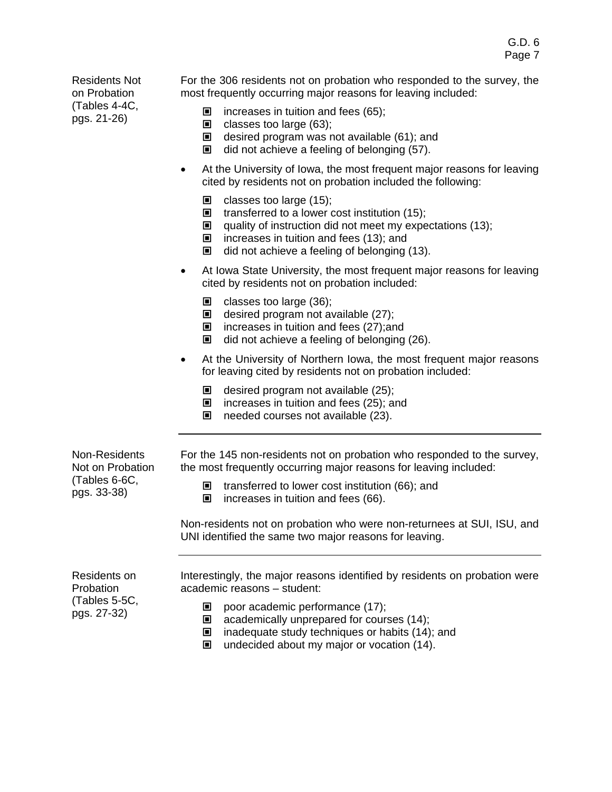Residents Not on Probation (Tables 4-4C, pgs. 21-26)

For the 306 residents not on probation who responded to the survey, the most frequently occurring major reasons for leaving included:

- $\blacksquare$  increases in tuition and fees (65);
- $\blacksquare$  classes too large (63);
- $\Box$  desired program was not available (61); and
- $\Box$  did not achieve a feeling of belonging (57).
- At the University of Iowa, the most frequent major reasons for leaving cited by residents not on probation included the following:
	- $\Box$  classes too large (15);
	- $\blacksquare$  transferred to a lower cost institution (15);
	- $\Box$  quality of instruction did not meet my expectations (13);
	- $\blacksquare$  increases in tuition and fees (13); and
	- $\Box$  did not achieve a feeling of belonging (13).
- At Iowa State University, the most frequent major reasons for leaving cited by residents not on probation included:
	- $\blacksquare$  classes too large (36);
	- $\blacksquare$  desired program not available (27);
	- $\blacksquare$  increases in tuition and fees (27);and
	- $\blacksquare$  did not achieve a feeling of belonging (26).
- At the University of Northern Iowa, the most frequent major reasons for leaving cited by residents not on probation included:
	- $\blacksquare$  desired program not available (25);
	- $\blacksquare$  increases in tuition and fees (25); and
	- $\Box$  needed courses not available (23).

Non-Residents Not on Probation (Tables 6-6C, pgs. 33-38)

For the 145 non-residents not on probation who responded to the survey, the most frequently occurring major reasons for leaving included:

- $\blacksquare$  transferred to lower cost institution (66); and
- $\blacksquare$  increases in tuition and fees (66).

Non-residents not on probation who were non-returnees at SUI, ISU, and UNI identified the same two major reasons for leaving.

Residents on Probation (Tables 5-5C, pgs. 27-32)

Interestingly, the major reasons identified by residents on probation were academic reasons – student:

- $\Box$  poor academic performance (17);
- $\Box$  academically unprepared for courses (14);
- $\blacksquare$  inadequate study techniques or habits (14); and
- $\Box$  undecided about my major or vocation (14).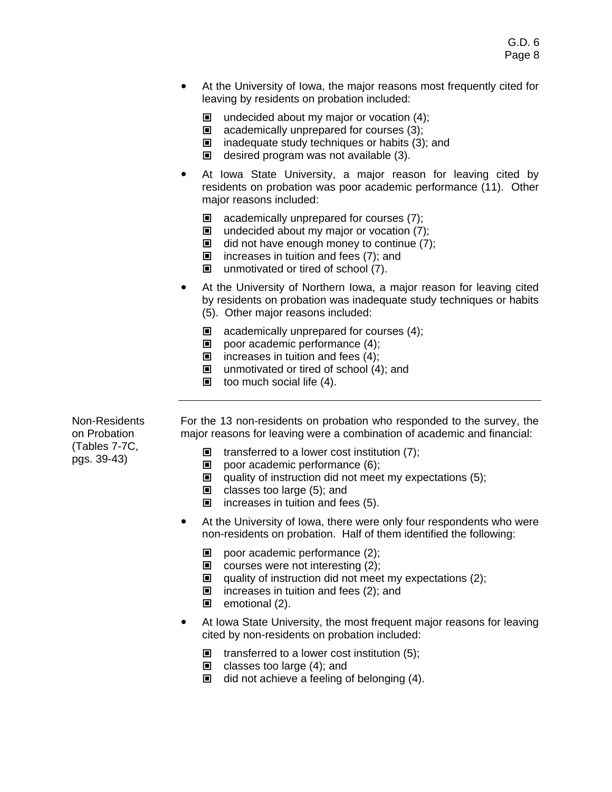- At the University of Iowa, the major reasons most frequently cited for leaving by residents on probation included:
	- $\blacksquare$  undecided about my major or vocation (4);
	- $\Box$  academically unprepared for courses (3);
	- $\blacksquare$  inadequate study techniques or habits (3); and
	- $\Box$  desired program was not available (3).
- At Iowa State University, a major reason for leaving cited by residents on probation was poor academic performance (11). Other major reasons included:
	- $\Box$  academically unprepared for courses (7);
	- $\blacksquare$  undecided about my major or vocation (7);
	- $\Box$  did not have enough money to continue (7);
	- $\blacksquare$  increases in tuition and fees (7); and
	- $\blacksquare$  unmotivated or tired of school (7).
- ! At the University of Northern Iowa, a major reason for leaving cited by residents on probation was inadequate study techniques or habits (5). Other major reasons included:
	- $\Box$  academically unprepared for courses (4);
	- $\Box$  poor academic performance (4);
	- $\blacksquare$  increases in tuition and fees (4);
	- $\Box$  unmotivated or tired of school (4); and
	- $\blacksquare$  too much social life (4).

Non-Residents on Probation (Tables 7-7C, pgs. 39-43)

- For the 13 non-residents on probation who responded to the survey, the major reasons for leaving were a combination of academic and financial:
	- $\blacksquare$  transferred to a lower cost institution (7);
	- $\Box$  poor academic performance (6);
	- $\Box$  quality of instruction did not meet my expectations (5);
	- $\Box$  classes too large (5); and
	- $\blacksquare$  increases in tuition and fees (5).
- At the University of Iowa, there were only four respondents who were non-residents on probation. Half of them identified the following:
	- poor academic performance  $(2)$ ;
	- $\Box$  courses were not interesting (2);
	- $\Box$  quality of instruction did not meet my expectations (2);
	- $\blacksquare$  increases in tuition and fees (2); and
	- $\blacksquare$  emotional (2).
- At Iowa State University, the most frequent major reasons for leaving cited by non-residents on probation included:
	- $\blacksquare$  transferred to a lower cost institution (5);
	- $\Box$  classes too large (4); and
	- $\Box$  did not achieve a feeling of belonging (4).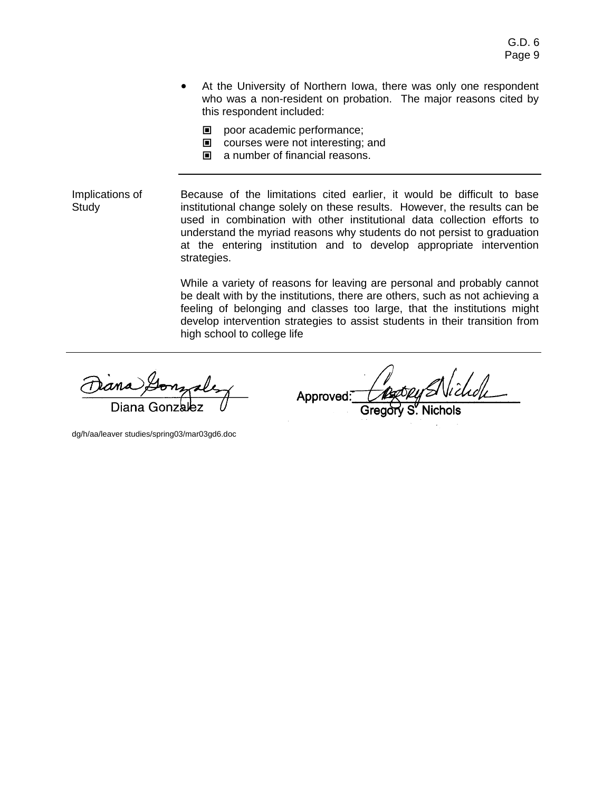- At the University of Northern Iowa, there was only one respondent who was a non-resident on probation. The major reasons cited by this respondent included:
	- $\blacksquare$  poor academic performance;
	- $\Box$  courses were not interesting; and
	- $\blacksquare$  a number of financial reasons.

Implications of Study Because of the limitations cited earlier, it would be difficult to base institutional change solely on these results. However, the results can be used in combination with other institutional data collection efforts to understand the myriad reasons why students do not persist to graduation at the entering institution and to develop appropriate intervention strategies.

> While a variety of reasons for leaving are personal and probably cannot be dealt with by the institutions, there are others, such as not achieving a feeling of belonging and classes too large, that the institutions might develop intervention strategies to assist students in their transition from high school to college life

Diana

Approved:

dg/h/aa/leaver studies/spring03/mar03gd6.doc